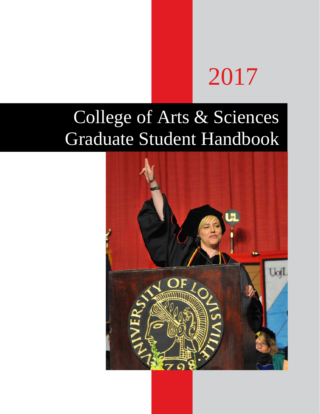# 2017

# College of Arts & Sciences Graduate Student Handbook

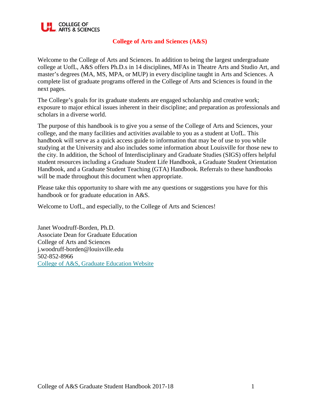

# **College of Arts and Sciences (A&S)**

Welcome to the College of Arts and Sciences. In addition to being the largest undergraduate college at UofL, A&S offers Ph.D.s in 14 disciplines, MFAs in Theatre Arts and Studio Art, and master's degrees (MA, MS, MPA, or MUP) in every discipline taught in Arts and Sciences. A complete list of graduate programs offered in the College of Arts and Sciences is found in the next pages.

The College's goals for its graduate students are engaged scholarship and creative work; exposure to major ethical issues inherent in their discipline; and preparation as professionals and scholars in a diverse world.

The purpose of this handbook is to give you a sense of the College of Arts and Sciences, your college, and the many facilities and activities available to you as a student at UofL. This handbook will serve as a quick access guide to information that may be of use to you while studying at the University and also includes some information about Louisville for those new to the city. In addition, the School of Interdisciplinary and Graduate Studies (SIGS) offers helpful student resources including a Graduate Student Life Handbook, a Graduate Student Orientation Handbook, and a Graduate Student Teaching (GTA) Handbook. Referrals to these handbooks will be made throughout this document when appropriate.

Please take this opportunity to share with me any questions or suggestions you have for this handbook or for graduate education in A&S.

Welcome to UofL, and especially, to the College of Arts and Sciences!

Janet Woodruff-Borden, Ph.D. Associate Dean for Graduate Education College of Arts and Sciences j.woodruff-borden@louisville.edu 502-852-8966 [College of A&S, Graduate Education Website](http://louisville.edu/artsandsciences/academics/graduate-education)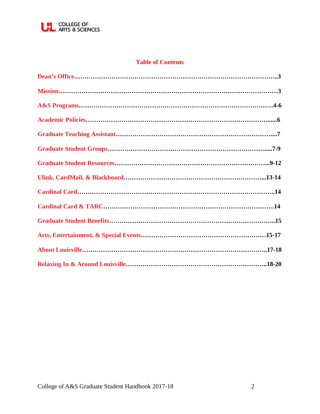

# **Table of Contents**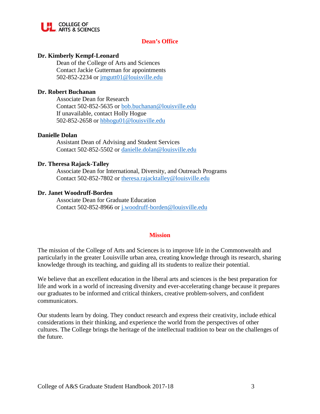

# **Dean's Office**

#### **Dr. Kimberly Kempf-Leonard**

Dean of the College of Arts and Sciences Contact Jackie Gutterman for appointments 502-852-2234 or jmgutt01@louisville.edu

#### **Dr. Robert Buchanan**

Associate Dean for Research Contact 502-852-5635 or bob.buchanan@louisville.edu If unavailable, contact Holly Hogue 502-852-2658 or hbhogu01@louisville.edu

#### **Danielle Dolan**

Assistant Dean of Advising and Student Services Contact 502-852-5502 or danielle.dolan@louisville.edu

#### **Dr. Theresa Rajack-Talley**

Associate Dean for International, Diversity, and Outreach Programs Contact 502-852-7802 or [theresa.rajacktalley@louisville.edu](mailto:theresa.rajacktalley@louisville.edu)

#### **Dr. Janet Woodruff-Borden**

Associate Dean for Graduate Education Contact 502-852-8966 or [j.woodruff-borden@louisville.edu](mailto:j.woodruff-borden@louisville.edu)

#### **Mission**

The mission of the College of Arts and Sciences is to improve life in the Commonwealth and particularly in the greater Louisville urban area, creating knowledge through its research, sharing knowledge through its teaching, and guiding all its students to realize their potential.

We believe that an excellent education in the liberal arts and sciences is the best preparation for life and work in a world of increasing diversity and ever-accelerating change because it prepares our graduates to be informed and critical thinkers, creative problem-solvers, and confident communicators.

Our students learn by doing. They conduct research and express their creativity, include ethical considerations in their thinking, and experience the world from the perspectives of other cultures. The College brings the heritage of the intellectual tradition to bear on the challenges of the future.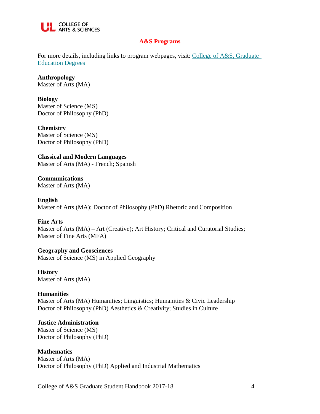

#### **A&S Programs**

For more details, including links to program webpages, visit: [College of A&S, Graduate](http://louisville.edu/artsandsciences/academics/graduate-education/degrees)  [Education Degrees](http://louisville.edu/artsandsciences/academics/graduate-education/degrees)

**Anthropology** Master of Arts (MA)

**Biology** Master of Science (MS) Doctor of Philosophy (PhD)

**Chemistry** Master of Science (MS) Doctor of Philosophy (PhD)

**Classical and Modern Languages** Master of Arts (MA) - French; Spanish

**Communications** Master of Arts (MA)

**English** Master of Arts (MA); Doctor of Philosophy (PhD) Rhetoric and Composition

**Fine Arts** Master of Arts (MA) – Art (Creative); Art History; Critical and Curatorial Studies; Master of Fine Arts (MFA)

**Geography and Geosciences** Master of Science (MS) in Applied Geography

**History** Master of Arts (MA)

# **Humanities**

Master of Arts (MA) Humanities; Linguistics; Humanities & Civic Leadership Doctor of Philosophy (PhD) Aesthetics & Creativity; Studies in Culture

# **Justice Administration**

Master of Science (MS) Doctor of Philosophy (PhD)

**Mathematics**

Master of Arts (MA) Doctor of Philosophy (PhD) Applied and Industrial Mathematics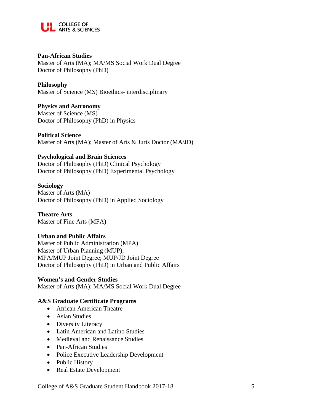

#### **Pan-African Studies**

Master of Arts (MA); MA/MS Social Work Dual Degree Doctor of Philosophy (PhD)

#### **Philosophy**

Master of Science (MS) Bioethics- interdisciplinary

#### **Physics and Astronomy**

Master of Science (MS) Doctor of Philosophy (PhD) in Physics

#### **Political Science**

Master of Arts (MA); Master of Arts & Juris Doctor (MA/JD)

#### **Psychological and Brain Sciences**

Doctor of Philosophy (PhD) Clinical Psychology Doctor of Philosophy (PhD) Experimental Psychology

#### **Sociology**

Master of Arts (MA) Doctor of Philosophy (PhD) in Applied Sociology

**Theatre Arts** Master of Fine Arts (MFA)

#### **Urban and Public Affairs**

Master of Public Administration (MPA) Master of Urban Planning (MUP); MPA/MUP Joint Degree; MUP/JD Joint Degree Doctor of Philosophy (PhD) in Urban and Public Affairs

**Women's and Gender Studies**  Master of Arts (MA); MA/MS Social Work Dual Degree

#### **A&S Graduate Certificate Programs**

- African American Theatre
- Asian Studies
- Diversity Literacy
- Latin American and Latino Studies
- Medieval and Renaissance Studies
- Pan-African Studies
- Police Executive Leadership Development
- Public History
- Real Estate Development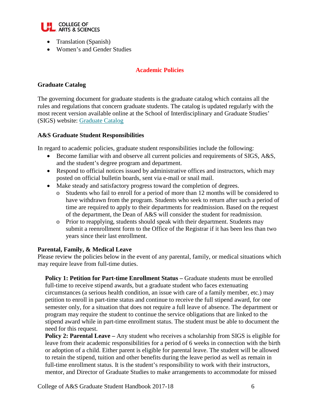

- Translation (Spanish)
- Women's and Gender Studies

# **Academic Policies**

#### **Graduate Catalog**

The governing document for graduate students is the graduate catalog which contains all the rules and regulations that concern graduate students. The catalog is updated regularly with the most recent version available online at the School of Interdisciplinary and Graduate Studies' (SIGS) website: [Graduate Catalog](http://louisville.edu/graduatecatalog)

#### **A&S Graduate Student Responsibilities**

In regard to academic policies, graduate student responsibilities include the following:

- Become familiar with and observe all current policies and requirements of SIGS, A&S, and the student's degree program and department.
- Respond to official notices issued by administrative offices and instructors, which may posted on official bulletin boards, sent via e-mail or snail mail.
- Make steady and satisfactory progress toward the completion of degrees.
	- o Students who fail to enroll for a period of more than 12 months will be considered to have withdrawn from the program. Students who seek to return after such a period of time are required to apply to their departments for readmission. Based on the request of the department, the Dean of A&S will consider the student for readmission.
	- o Prior to reapplying, students should speak with their department. Students may submit a reenrollment form to the Office of the Registrar if it has been less than two years since their last enrollment.

#### **Parental, Family, & Medical Leave**

Please review the policies below in the event of any parental, family, or medical situations which may require leave from full-time duties.

**Policy 1: Petition for Part-time Enrollment Status –** Graduate students must be enrolled full-time to receive stipend awards, but a graduate student who faces extenuating circumstances (a serious health condition, an issue with care of a family member, etc.) may petition to enroll in part-time status and continue to receive the full stipend award, for one semester only, for a situation that does not require a full leave of absence. The department or program may require the student to continue the service obligations that are linked to the stipend award while in part-time enrollment status. The student must be able to document the need for this request.

**Policy 2: Parental Leave –** Any student who receives a scholarship from SIGS is eligible for leave from their academic responsibilities for a period of 6 weeks in connection with the birth or adoption of a child. Either parent is eligible for parental leave. The student will be allowed to retain the stipend, tuition and other benefits during the leave period as well as remain in full-time enrollment status. It is the student's responsibility to work with their instructors, mentor, and Director of Graduate Studies to make arrangements to accommodate for missed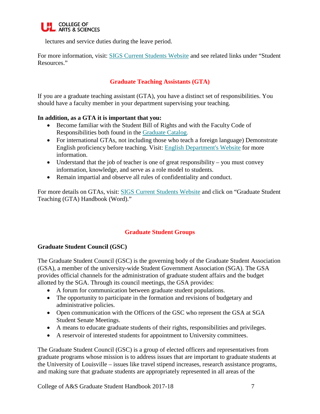

lectures and service duties during the leave period.

For more information, visit: [SIGS Current Students Website](https://louisville.edu/graduate/current-students) and see related links under "Student Resources."

# **Graduate Teaching Assistants (GTA)**

If you are a graduate teaching assistant (GTA), you have a distinct set of responsibilities. You should have a faculty member in your department supervising your teaching.

#### **In addition, as a GTA it is important that you:**

- Become familiar with the Student Bill of Rights and with the Faculty Code of Responsibilities both found in the [Graduate Catalog.](http://louisville.edu/graduatecatalog)
- For international GTAs, not including those who teach a foreign language) Demonstrate English proficiency before teaching. Visit: [English Department's Website](http://louisville.edu/english/iesl/international-graduate-teaching-assistants) for more information.
- Understand that the job of teacher is one of great responsibility you must convey information, knowledge, and serve as a role model to students.
- Remain impartial and observe all rules of confidentiality and conduct.

For more details on GTAs, visit: [SIGS Current Students Website](http://louisville.edu/graduate/current-students) and click on "Graduate Student Teaching (GTA) Handbook (Word)."

# **Graduate Student Groups**

# **Graduate Student Council (GSC)**

The Graduate Student Council (GSC) is the governing body of the Graduate Student Association (GSA), a member of the university-wide Student Government Association (SGA). The GSA provides official channels for the administration of graduate student affairs and the budget allotted by the SGA. Through its council meetings, the GSA provides:

- A forum for communication between graduate student populations.
- The opportunity to participate in the formation and revisions of budgetary and administrative policies.
- Open communication with the Officers of the GSC who represent the GSA at SGA Student Senate Meetings.
- A means to educate graduate students of their rights, responsibilities and privileges.
- A reservoir of interested students for appointment to University committees.

The Graduate Student Council (GSC) is a group of elected officers and representatives from graduate programs whose mission is to address issues that are important to graduate students at the University of Louisville – issues like travel stipend increases, research assistance programs, and making sure that graduate students are appropriately represented in all areas of the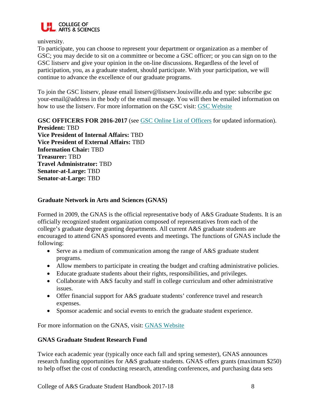

university.

To participate, you can choose to represent your department or organization as a member of GSC; you may decide to sit on a committee or become a GSC officer; or you can sign on to the GSC listserv and give your opinion in the on-line discussions. Regardless of the level of participation, you, as a graduate student, should participate. With your participation, we will continue to advance the excellence of our graduate programs.

To join the GSC listserv, please email listserv@listserv.louisville.edu and type: subscribe gsc your-email@address in the body of the email message. You will then be emailed information on how to use the listserv. For more information on the GSC visit: [GSC Website](http://graduate.louisville.edu/gsc/)

**GSC OFFICERS FOR 2016-2017** (see [GSC Online List of Officers](http://louisville.edu/graduate/gsc/officers) for updated information).

**President:** TBD **Vice President of Internal Affairs:** TBD **Vice President of External Affairs:** TBD **Information Chair:** TBD **Treasurer:** TBD **Travel Administrator:** TBD **Senator-at-Large:** TBD **Senator-at-Large:** TBD

# **Graduate Network in Arts and Sciences (GNAS)**

Formed in 2009, the GNAS is the official representative body of A&S Graduate Students. It is an officially recognized student organization composed of representatives from each of the college's graduate degree granting departments. All current A&S graduate students are encouraged to attend GNAS sponsored events and meetings. The functions of GNAS include the following:

- Serve as a medium of communication among the range of A&S graduate student programs.
- Allow members to participate in creating the budget and crafting administrative policies.
- Educate graduate students about their rights, responsibilities, and privileges.
- Collaborate with A&S faculty and staff in college curriculum and other administrative issues.
- Offer financial support for A&S graduate students' conference travel and research expenses.
- Sponsor academic and social events to enrich the graduate student experience.

For more information on the GNAS, visit: [GNAS Website](http://louisville.edu/artsandsciences/academics/graduate-education/graduate-network)

#### **GNAS Graduate Student Research Fund**

Twice each academic year (typically once each fall and spring semester), GNAS announces research funding opportunities for A&S graduate students. GNAS offers grants (maximum \$250) to help offset the cost of conducting research, attending conferences, and purchasing data sets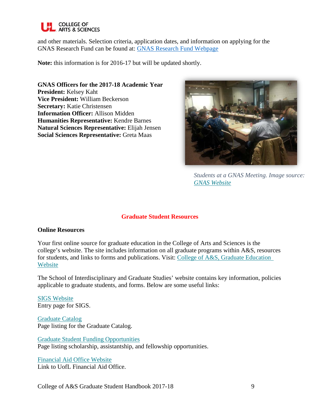

and other materials. Selection criteria, application dates, and information on applying for the GNAS Research Fund can be found at: [GNAS Research Fund Webpage](http://louisville.edu/artsandsciences/academics/graduate-education/graduate-network)

**Note:** this information is for 2016-17 but will be updated shortly.

**GNAS Officers for the 2017-18 Academic Year President:** Kelsey Kaht **Vice President:** William Beckerson **Secretary:** Katie Christensen **Information Officer:** Allison Midden **Humanities Representative:** Kendre Barnes **Natural Sciences Representative:** Elijah Jensen **Social Sciences Representative:** Greta Maas



*Students at a GNAS Meeting. Image source: [GNAS Website](http://louisville.edu/artsandsciences/academics/graduate-education/graduate-network)*

#### **Graduate Student Resources**

#### **Online Resources**

Your first online source for graduate education in the College of Arts and Sciences is the college's website. The site includes information on all graduate programs within A&S, resources for students, and links to forms and publications. Visit: [College of A&S, Graduate Education](http://louisville.edu/artsandsciences/academics/graduate-education)  [Website](http://louisville.edu/artsandsciences/academics/graduate-education)

The School of Interdisciplinary and Graduate Studies' website contains key information, policies applicable to graduate students, and forms. Below are some useful links:

[SIGS Website](http://graduate.louisville.edu/) Entry page for SIGS.

[Graduate Catalog](http://louisville.edu/graduatecatalog) Page listing for the Graduate Catalog.

[Graduate Student Funding Opportunities](http://louisville.edu/graduate/current-students/funding-opportunities/fellowship-resources) Page listing scholarship, assistantship, and fellowship opportunities.

[Financial Aid Office Website](http://louisville.edu/financialaid) Link to UofL Financial Aid Office.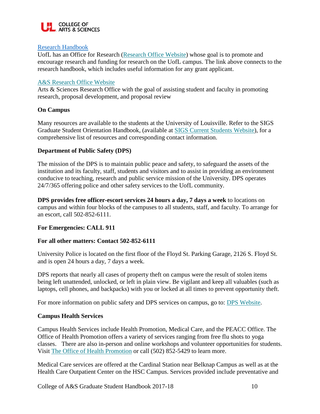

#### [Research Handbook](https://louisville.edu/research/support/research-handbook/toc)

UofL has an Office for Research [\(Research Office Website\)](http://louisville.edu/research/about) whose goal is to promote and encourage research and funding for research on the UofL campus. The link above connects to the research handbook, which includes useful information for any grant applicant.

# [A&S Research Office Website](http://louisville.edu/artsandsciences/research)

Arts & Sciences Research Office with the goal of assisting student and faculty in promoting research, proposal development, and proposal review

# **On Campus**

Many resources are available to the students at the University of Louisville. Refer to the SIGS Graduate Student Orientation Handbook, (available at [SIGS Current Students Website\)](http://louisville.edu/graduate/current-students), for a comprehensive list of resources and corresponding contact information.

# **Department of Public Safety (DPS)**

The mission of the DPS is to maintain public peace and safety, to safeguard the assets of the institution and its faculty, staff, students and visitors and to assist in providing an environment conducive to teaching, research and public service mission of the University. DPS operates 24/7/365 offering police and other safety services to the UofL community.

**DPS provides free officer-escort services 24 hours a day, 7 days a week** to locations on campus and within four blocks of the campuses to all students, staff, and faculty. To arrange for an escort, call 502-852-6111.

#### **For Emergencies: CALL 911**

#### **For all other matters: Contact 502-852-6111**

University Police is located on the first floor of the Floyd St. Parking Garage, 2126 S. Floyd St. and is open 24 hours a day, 7 days a week.

DPS reports that nearly all cases of property theft on campus were the result of stolen items being left unattended, unlocked, or left in plain view. Be vigilant and keep all valuables (such as laptops, cell phones, and backpacks) with you or locked at all times to prevent opportunity theft.

For more information on public safety and DPS services on campus, go to: [DPS Website.](http://www.louisville.edu/police)

#### **Campus Health Services**

Campus Health Services include Health Promotion, Medical Care, and the PEACC Office. The Office of Health Promotion offers a variety of services ranging from free flu shots to yoga classes. There are also in-person and online workshops and volunteer opportunities for students. Visit [The Office of Health Promotion](http://louisville.edu/healthpromotion) or call (502) 852-5429 to learn more.

Medical Care services are offered at the Cardinal Station near Belknap Campus as well as at the Health Care Outpatient Center on the HSC Campus. Services provided include preventative and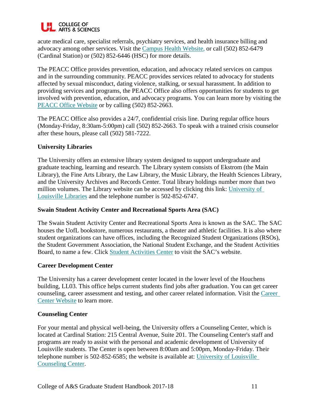

acute medical care, specialist referrals, psychiatry services, and health insurance billing and advocacy among other services. Visit the [Campus Health Website,](http://louisville.edu/campushealth) or call (502) 852-6479 (Cardinal Station) or (502) 852-6446 (HSC) for more details.

The PEACC Office provides prevention, education, and advocacy related services on campus and in the surrounding community. PEACC provides services related to advocacy for students affected by sexual misconduct, dating violence, stalking, or sexual harassment. In addition to providing services and programs, the PEACC Office also offers opportunities for students to get involved with prevention, education, and advocacy programs. You can learn more by visiting the [PEACC Office Website](http://louisville.edu/peacc) or by calling (502) 852-2663.

The PEACC Office also provides a 24/7, confidential crisis line. During regular office hours (Monday-Friday, 8:30am-5:00pm) call (502) 852-2663. To speak with a trained crisis counselor after these hours, please call (502) 581-7222.

# **University Libraries**

The University offers an extensive library system designed to support undergraduate and graduate teaching, learning and research. The Library system consists of Ekstrom (the Main Library), the Fine Arts Library, the Law Library, the Music Library, the Health Sciences Library, and the University Archives and Records Center. Total library holdings number more than two million volumes. The Library website can be accessed by clicking this link: [University of](http://louisville.edu/library)  [Louisville Libraries](http://louisville.edu/library) and the telephone number is 502-852-6747.

#### **Swain Student Activity Center and Recreational Sports Area (SAC)**

The Swain Student Activity Center and Recreational Sports Area is known as the SAC. The SAC houses the UofL bookstore, numerous restaurants, a theater and athletic facilities. It is also where student organizations can have offices, including the Recognized Student Organizations (RSOs), the Student Government Association, the National Student Exchange, and the Student Activities Board, to name a few. Click [Student Activities Center](http://louisville.edu/studentactivities/facilities/student-activities-center) to visit the SAC's website.

#### **Career Development Center**

The University has a career development center located in the lower level of the Houchens building, LL03. This office helps current students find jobs after graduation. You can get career counseling, career assessment and testing, and other career related information. Visit the [Career](http://www.louisville.edu/career)  [Center Website](http://www.louisville.edu/career) to learn more.

#### **Counseling Center**

For your mental and physical well-being, the University offers a Counseling Center, which is located at Cardinal Station: 215 Central Avenue, Suite 201. The Counseling Center's staff and programs are ready to assist with the personal and academic development of University of Louisville students. The Center is open between 8:00am and 5:00pm, Monday-Friday. Their telephone number is 502-852-6585; the website is available at: [University of Louisville](http://www.louisville.edu/counseling/)  [Counseling Center.](http://www.louisville.edu/counseling/)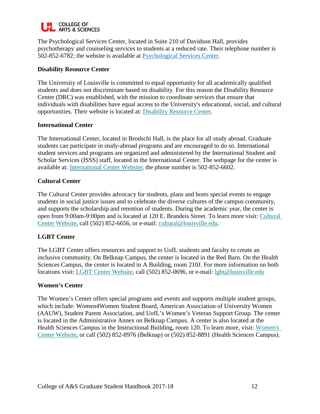

The Psychological Services Center, located in Suite 210 of Davidson Hall, provides psychotherapy and counseling services to students at a reduced rate. Their telephone number is 502-852-6782; the website is available at [Psychological Services Center.](http://louisville.edu/psychology/psc)

#### **Disability Resource Center**

The University of Louisville is committed to equal opportunity for all academically qualified students and does not discriminate based on disability. For this reason the Disability Resource Center (DRC) was established, with the mission to coordinate services that ensure that individuals with disabilities have equal access to the University's educational, social, and cultural opportunities. Their website is located at: [Disability Resource Center.](http://www.louisville.edu/disability/)

#### **International Center**

The International Center, located in Brodschi Hall, is the place for all study abroad. Graduate students can participate in study-abroad programs and are encouraged to do so. International student services and programs are organized and administered by the International Student and Scholar Services (ISSS) staff, located in the International Center. The webpage for the center is available at: [International Center Website;](http://www.louisville.edu/internationalcenter/) the phone number is 502-852-6602.

#### **Cultural Center**

The Cultural Center provides advocacy for students, plans and hosts special events to engage students in social justice issues and to celebrate the diverse cultures of the campus community, and supports the scholarship and retention of students. During the academic year, the center is open from 9:00am-9:00pm and is located at 120 E. Brandeis Street. To learn more visit: [Cultural](http://louisville.edu/culturalcenter)  [Center Website,](http://louisville.edu/culturalcenter) call (502) 852-6656, or e-mail: [cultural@louisville.edu.](mailto:cultural@louisville.edu)

#### **LGBT Center**

The LGBT Center offers resources and support to UofL students and faculty to create an inclusive community. On Belknap Campus, the center is located in the Red Barn. On the Health Sciences Campus, the center is located in A Building, room 210J. For more information on both locations visit: [LGBT Center Website,](http://louisville.edu/lgbt/front-page/) call (502) 852-0696, or e-mail: [lgbt@louisville.edu](mailto:lgbt@louisville.edu)

#### **Women's Center**

The Women's Center offers special programs and events and supports multiple student groups, which include: Women4Women Student Board, American Association of University Women (AAUW), Student Parent Association, and UofL's Women's Veteran Support Group. The center is located in the Administrative Annex on Belknap Campus. A center is also located at the Health Sciences Campus in the Instructional Building, room 120. To learn more, visit: Women's [Center Website,](http://louisville.edu/womenscenter) or call (502) 852-8976 (Belknap) or (502) 852-8891 (Health Sciences Campus).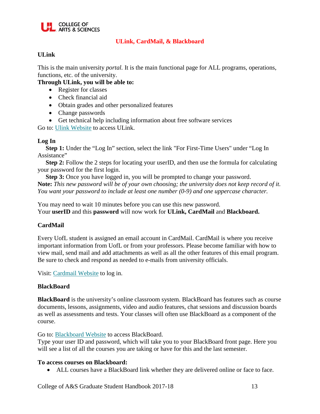

# **ULink, CardMail, & Blackboard**

# **ULink**

This is the main university *portal.* It is the main functional page for ALL programs, operations, functions, etc. of the university.

#### **Through ULink, you will be able to:**

- Register for classes
- Check financial aid
- Obtain grades and other personalized features
- Change passwords
- Get technical help including information about free software services

Go to: [Ulink Website](https://ulink.louisville.edu/) to access ULink.

#### **Log In**

 **Step 1:** Under the "Log In" section, select the link "For First-Time Users" under "Log In Assistance"

**Step 2:** Follow the 2 steps for locating your userID, and then use the formula for calculating your password for the first login.

**Step 3:** Once you have logged in, you will be prompted to change your password. **Note:** *This new password will be of your own choosing; the university does not keep record of it. You want your password to include at least one number (0-9) and one uppercase character.*

You may need to wait 10 minutes before you can use this new password. Your **userID** and this **password** will now work for **ULink, CardMail** and **Blackboard.**

#### **CardMail**

Every UofL student is assigned an email account in CardMail. CardMail is where you receive important information from UofL or from your professors. Please become familiar with how to view mail, send mail and add attachments as well as all the other features of this email program. Be sure to check and respond as needed to e-mails from university officials.

Visit: [Cardmail Website](http://louisville.edu/email/) to log in.

#### **BlackBoard**

**BlackBoard** is the university's online classroom system. BlackBoard has features such as course documents, lessons, assignments, video and audio features, chat sessions and discussion boards as well as assessments and tests. Your classes will often use BlackBoard as a component of the course.

Go to: [Blackboard Website](https://blackboard.louisville.edu/webapps/login) to access BlackBoard.

Type your user ID and password, which will take you to your BlackBoard front page. Here you will see a list of all the courses you are taking or have for this and the last semester.

#### **To access courses on Blackboard:**

• ALL courses have a BlackBoard link whether they are delivered online or face to face.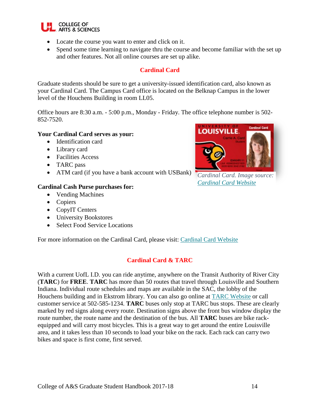

- Locate the course you want to enter and click on it.
- Spend some time learning to navigate thru the course and become familiar with the set up and other features. Not all online courses are set up alike.

# **Cardinal Card**

Graduate students should be sure to get a university-issued identification card, also known as your Cardinal Card. The Campus Card office is located on the Belknap Campus in the lower level of the Houchens Building in room LL05.

Office hours are 8:30 a.m. - 5:00 p.m., Monday - Friday. The office telephone number is 502- 852-7520.

#### **Your Cardinal Card serves as your:**

- Identification card
- Library card
- Facilities Access
- TARC pass
- ATM card (if you have a bank account with USBank)

#### **Cardinal Cash Purse purchases for:**

- Vending Machines
- Copiers
- CopyIT Centers
- University Bookstores
- Select Food Service Locations

For more information on the Cardinal Card, please visit: [Cardinal Card Website](http://www.louisville.edu/campuscard/)

# **Cardinal Card & TARC**

With a current UofL I.D. you can ride anytime, anywhere on the Transit Authority of River City (**TARC**) for **FREE**. **TARC** has more than 50 routes that travel through Louisville and Southern Indiana. Individual route schedules and maps are available in the SAC, the lobby of the Houchens building and in Ekstrom library. You can also go online at [TARC Website](http://www.ridetarc.org/) or call customer service at 502-585-1234. **TARC** buses only stop at TARC bus stops. These are clearly marked by red signs along every route. Destination signs above the front bus window display the route number, the route name and the destination of the bus. All **TARC** buses are bike rackequipped and will carry most bicycles. This is a great way to get around the entire Louisville area, and it takes less than 10 seconds to load your bike on the rack. Each rack can carry two bikes and space is first come, first served.



*Cardinal Card. Image source: [Cardinal Card Website](http://louisville.edu/cardinalcard/get-a-card)*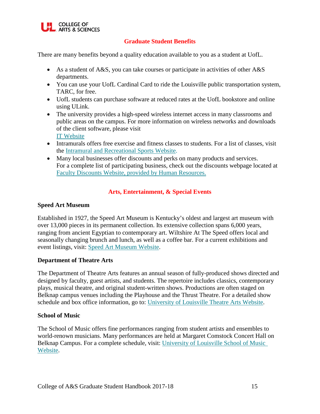

# **Graduate Student Benefits**

There are many benefits beyond a quality education available to you as a student at UofL.

- As a student of A&S, you can take courses or participate in activities of other A&S departments.
- You can use your UofL Cardinal Card to ride the Louisville public transportation system, TARC, for free.
- UofL students can purchase software at reduced rates at the UofL bookstore and online using ULink.
- The university provides a high-speed wireless internet access in many classrooms and public areas on the campus. For more information on wireless networks and downloads of the client software, please visit [IT Website](http://louisville.edu/it/departments/communications/wireless/wireless-networking-uofl/)
- Intramurals offers free exercise and fitness classes to students. For a list of classes, visit the [Intramural and Recreational Sports Website.](http://louisville.edu/intramurals/fitness)
- Many local businesses offer discounts and perks on many products and services. For a complete list of participating business, check out the discounts webpage located at [Faculty Discounts Website, provided by Human Resources.](http://louisville.edu/hr/gptw/discounts)

# **Arts, Entertainment, & Special Events**

#### **Speed Art Museum**

Established in 1927, the Speed Art Museum is Kentucky's oldest and largest art museum with over 13,000 pieces in its permanent collection. Its extensive collection spans 6,000 years, ranging from ancient Egyptian to contemporary art. Wiltshire At The Speed offers local and seasonally changing brunch and lunch, as well as a coffee bar. For a current exhibitions and event listings, visit: [Speed Art Museum Website.](http://www.speedmuseum.org/)

#### **Department of Theatre Arts**

The Department of Theatre Arts features an annual season of fully-produced shows directed and designed by faculty, guest artists, and students. The repertoire includes classics, contemporary plays, musical theatre, and original student-written shows. Productions are often staged on Belknap campus venues including the Playhouse and the Thrust Theatre. For a detailed show schedule and box office information, go to: [University of Louisville Theatre Arts Website.](http://www.louisville.edu/theatrearts/)

#### **School of Music**

The School of Music offers fine performances ranging from student artists and ensembles to world-renown musicians. Many performances are held at Margaret Comstock Concert Hall on Belknap Campus. For a complete schedule, visit: [University of Louisville School of Music](http://www.louisville.edu/music/)  [Website.](http://www.louisville.edu/music/)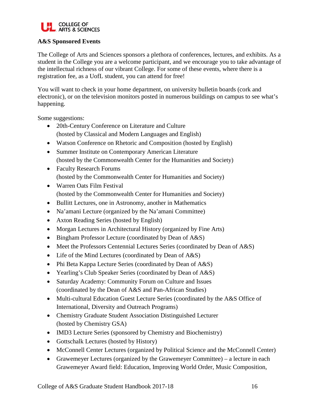

# **A&S Sponsored Events**

The College of Arts and Sciences sponsors a plethora of conferences, lectures, and exhibits. As a student in the College you are a welcome participant, and we encourage you to take advantage of the intellectual richness of our vibrant College. For some of these events, where there is a registration fee, as a UofL student, you can attend for free!

You will want to check in your home department, on university bulletin boards (cork and electronic), or on the television monitors posted in numerous buildings on campus to see what's happening.

Some suggestions:

- 20th-Century Conference on Literature and Culture (hosted by Classical and Modern Languages and English)
- Watson Conference on Rhetoric and Composition (hosted by English)
- Summer Institute on Contemporary American Literature (hosted by the Commonwealth Center for the Humanities and Society)
- Faculty Research Forums (hosted by the Commonwealth Center for Humanities and Society)
- Warren Oats Film Festival (hosted by the Commonwealth Center for Humanities and Society)
- Bullitt Lectures, one in Astronomy, another in Mathematics
- Na'amani Lecture (organized by the Na'amani Committee)
- Axton Reading Series (hosted by English)
- Morgan Lectures in Architectural History (organized by Fine Arts)
- Bingham Professor Lecture (coordinated by Dean of A&S)
- Meet the Professors Centennial Lectures Series (coordinated by Dean of A&S)
- Life of the Mind Lectures (coordinated by Dean of A&S)
- Phi Beta Kappa Lecture Series (coordinated by Dean of A&S)
- Yearling's Club Speaker Series (coordinated by Dean of A&S)
- Saturday Academy: Community Forum on Culture and Issues (coordinated by the Dean of A&S and Pan-African Studies)
- Multi-cultural Education Guest Lecture Series (coordinated by the A&S Office of International, Diversity and Outreach Programs)
- Chemistry Graduate Student Association Distinguished Lecturer (hosted by Chemistry GSA)
- IMD3 Lecture Series (sponsored by Chemistry and Biochemistry)
- Gottschalk Lectures (hosted by History)
- McConnell Center Lectures (organized by Political Science and the McConnell Center)
- Grawemeyer Lectures (organized by the Grawemeyer Committee) a lecture in each Grawemeyer Award field: Education, Improving World Order, Music Composition,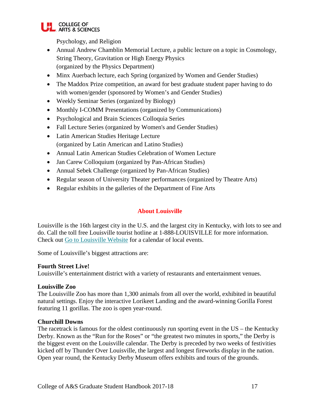

Psychology, and Religion

- Annual Andrew Chamblin Memorial Lecture, a public lecture on a topic in Cosmology, String Theory, Gravitation or High Energy Physics (organized by the Physics Department)
- Minx Auerbach lecture, each Spring (organized by Women and Gender Studies)
- The Maddox Prize competition, an award for best graduate student paper having to do with women/gender (sponsored by Women's and Gender Studies)
- Weekly Seminar Series (organized by Biology)
- Monthly I-COMM Presentations (organized by Communications)
- Psychological and Brain Sciences Colloquia Series
- Fall Lecture Series (organized by Women's and Gender Studies)
- Latin American Studies Heritage Lecture (organized by Latin American and Latino Studies)
- Annual Latin American Studies Celebration of Women Lecture
- Jan Carew Colloquium (organized by Pan-African Studies)
- Annual Sebek Challenge (organized by Pan-African Studies)
- Regular season of University Theater performances (organized by Theatre Arts)
- Regular exhibits in the galleries of the Department of Fine Arts

# **About Louisville**

Louisville is the 16th largest city in the U.S. and the largest city in Kentucky, with lots to see and do. Call the toll free Louisville tourist hotline at 1-888-LOUISVILLE for more information. Check out [Go to Louisville Website](http://www.gotolouisville.com/) for a calendar of local events.

Some of Louisville's biggest attractions are:

# **Fourth Street Live!**

Louisville's entertainment district with a variety of restaurants and entertainment venues.

#### **Louisville Zoo**

The Louisville Zoo has more than 1,300 animals from all over the world, exhibited in beautiful natural settings. Enjoy the interactive Lorikeet Landing and the award-winning Gorilla Forest featuring 11 gorillas. The zoo is open year-round.

#### **Churchill Downs**

The racetrack is famous for the oldest continuously run sporting event in the US – the Kentucky Derby. Known as the "Run for the Roses" or "the greatest two minutes in sports," the Derby is the biggest event on the Louisville calendar. The Derby is preceded by two weeks of festivities kicked off by Thunder Over Louisville, the largest and longest fireworks display in the nation. Open year round, the Kentucky Derby Museum offers exhibits and tours of the grounds.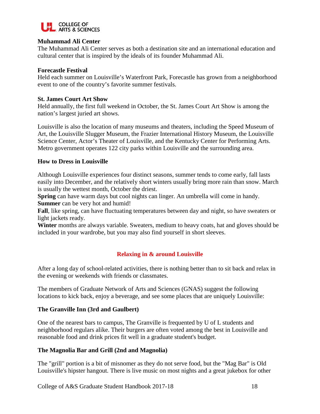

#### **Muhammad Ali Center**

The Muhammad Ali Center serves as both a destination site and an international education and cultural center that is inspired by the ideals of its founder Muhammad Ali.

#### **Forecastle Festival**

Held each summer on Louisville's Waterfront Park, Forecastle has grown from a neighborhood event to one of the country's favorite summer festivals.

#### **St. James Court Art Show**

Held annually, the first full weekend in October, the St. James Court Art Show is among the nation's largest juried art shows.

Louisville is also the location of many museums and theaters, including the Speed Museum of Art, the Louisville Slugger Museum, the Frazier International History Museum, the Louisville Science Center, Actor's Theater of Louisville, and the Kentucky Center for Performing Arts. Metro government operates 122 city parks within Louisville and the surrounding area.

#### **How to Dress in Louisville**

Although Louisville experiences four distinct seasons, summer tends to come early, fall lasts easily into December, and the relatively short winters usually bring more rain than snow. March is usually the wettest month, October the driest.

**Spring** can have warm days but cool nights can linger. An umbrella will come in handy. **Summer** can be very hot and humid!

**Fall**, like spring, can have fluctuating temperatures between day and night, so have sweaters or light jackets ready.

**Winter** months are always variable. Sweaters, medium to heavy coats, hat and gloves should be included in your wardrobe, but you may also find yourself in short sleeves.

# **Relaxing in & around Louisville**

After a long day of school-related activities, there is nothing better than to sit back and relax in the evening or weekends with friends or classmates.

The members of Graduate Network of Arts and Sciences (GNAS) suggest the following locations to kick back, enjoy a beverage, and see some places that are uniquely Louisville:

#### **The Granville Inn (3rd and Gaulbert)**

One of the nearest bars to campus, The Granville is frequented by U of L students and neighborhood regulars alike. Their burgers are often voted among the best in Louisville and reasonable food and drink prices fit well in a graduate student's budget.

#### **The Magnolia Bar and Grill (2nd and Magnolia)**

The "grill" portion is a bit of misnomer as they do not serve food, but the "Mag Bar" is Old Louisville's hipster hangout. There is live music on most nights and a great jukebox for other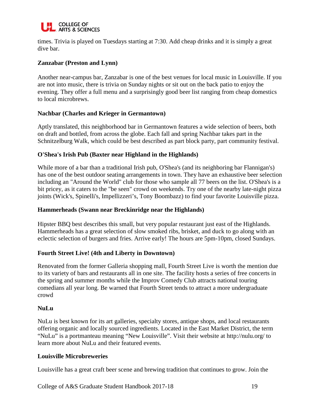

times. Trivia is played on Tuesdays starting at 7:30. Add cheap drinks and it is simply a great dive bar.

#### **Zanzabar (Preston and Lynn)**

Another near-campus bar, Zanzabar is one of the best venues for local music in Louisville. If you are not into music, there is trivia on Sunday nights or sit out on the back patio to enjoy the evening. They offer a full menu and a surprisingly good beer list ranging from cheap domestics to local microbrews.

#### **Nachbar (Charles and Krieger in Germantown)**

Aptly translated, this neighborhood bar in Germantown features a wide selection of beers, both on draft and bottled, from across the globe. Each fall and spring Nachbar takes part in the Schnitzelburg Walk, which could be best described as part block party, part community festival.

#### **O'Shea's Irish Pub (Baxter near Highland in the Highlands)**

While more of a bar than a traditional Irish pub, O'Shea's (and its neighboring bar Flannigan's) has one of the best outdoor seating arrangements in town. They have an exhaustive beer selection including an "Around the World" club for those who sample all 77 beers on the list. O'Shea's is a bit pricey, as it caters to the "be seen" crowd on weekends. Try one of the nearby late-night pizza joints (Wick's, Spinelli's, Impellizzeri's, Tony Boombazz) to find your favorite Louisville pizza.

#### **Hammerheads (Swann near Breckinridge near the Highlands)**

Hipster BBQ best describes this small, but very popular restaurant just east of the Highlands. Hammerheads has a great selection of slow smoked ribs, brisket, and duck to go along with an eclectic selection of burgers and fries. Arrive early! The hours are 5pm-10pm, closed Sundays.

#### **Fourth Street Live! (4th and Liberty in Downtown)**

Renovated from the former Galleria shopping mall, Fourth Street Live is worth the mention due to its variety of bars and restaurants all in one site. The facility hosts a series of free concerts in the spring and summer months while the Improv Comedy Club attracts national touring comedians all year long. Be warned that Fourth Street tends to attract a more undergraduate crowd

#### **NuLu**

NuLu is best known for its art galleries, specialty stores, antique shops, and local restaurants offering organic and locally sourced ingredients. Located in the East Market District, the term "NuLu" is a portmanteau meaning "New Louisville". Visit their website at http://nulu.org/ to learn more about NuLu and their featured events.

#### **Louisville Microbreweries**

Louisville has a great craft beer scene and brewing tradition that continues to grow. Join the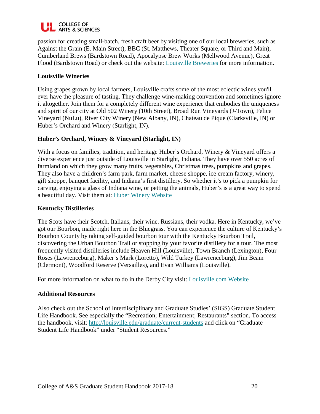

passion for creating small-batch, fresh craft beer by visiting one of our local breweries, such as Against the Grain (E. Main Street), BBC (St. Matthews, Theater Square, or Third and Main), Cumberland Brews (Bardstown Road), Apocalypse Brew Works (Mellwood Avenue), Great Flood (Bardstown Road) or check out the website: [Louisville Breweries](http://louisvillebeer.com/louisville-breweries/) for more information.

#### **Louisville Wineries**

Using grapes grown by local farmers, Louisville crafts some of the most eclectic wines you'll ever have the pleasure of tasting. They challenge wine-making convention and sometimes ignore it altogether. Join them for a completely different wine experience that embodies the uniqueness and spirit of our city at Old 502 Winery (10th Street), Broad Run Vineyards (J-Town), Felice Vineyard (NuLu), River City Winery (New Albany, IN), Chateau de Pique (Clarksville, IN) or Huber's Orchard and Winery (Starlight, IN).

# **Huber's Orchard, Winery & Vineyard (Starlight, IN)**

With a focus on families, tradition, and heritage Huber's Orchard, Winery & Vineyard offers a diverse experience just outside of Louisville in Starlight, Indiana. They have over 550 acres of farmland on which they grow many fruits, vegetables, Christmas trees, pumpkins and grapes. They also have a children's farm park, farm market, cheese shoppe, ice cream factory, winery, gift shoppe, banquet facility, and Indiana's first distillery. So whether it's to pick a pumpkin for carving, enjoying a glass of Indiana wine, or petting the animals, Huber's is a great way to spend a beautiful day. Visit them at: [Huber Winery Website](http://www.huberwinery.com/)

#### **Kentucky Distilleries**

The Scots have their Scotch. Italians, their wine. Russians, their vodka. Here in Kentucky, we've got our Bourbon, made right here in the Bluegrass. You can experience the culture of Kentucky's Bourbon County by taking self-guided bourbon tour with the Kentucky Bourbon Trail, discovering the Urban Bourbon Trail or stopping by your favorite distillery for a tour. The most frequently visited distilleries include Heaven Hill (Louisville), Town Branch (Lexington), Four Roses (Lawrenceburg), Maker's Mark (Loretto), Wild Turkey (Lawrenceburg), Jim Beam (Clermont), Woodford Reserve (Versailles), and Evan Williams (Louisville).

For more information on what to do in the Derby City visit: [Louisville.com Website](http://www.louisville.com/)

#### **Additional Resources**

Also check out the School of Interdisciplinary and Graduate Studies' (SIGS) Graduate Student Life Handbook. See especially the "Recreation; Entertainment; Restaurants" section. To access the handbook, visit:<http://louisville.edu/graduate/current-students> and click on "Graduate Student Life Handbook" under "Student Resources."